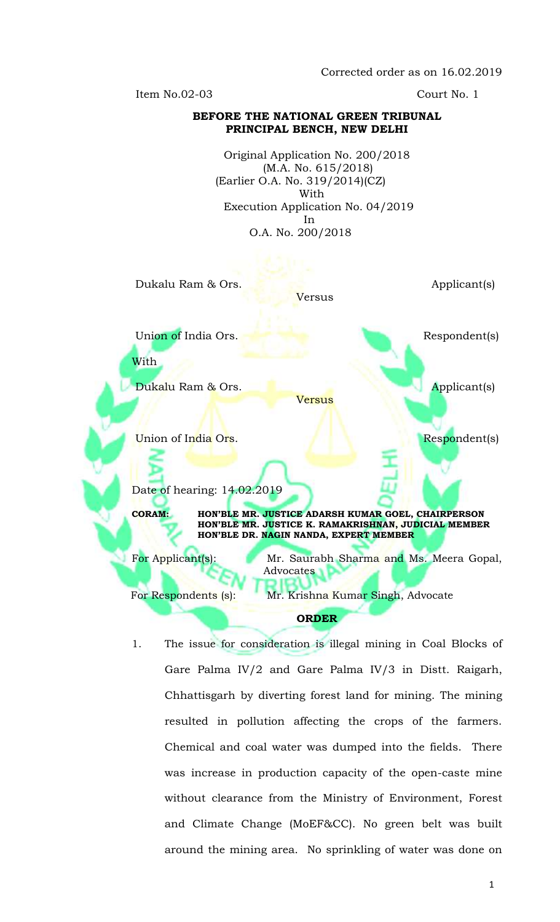Corrected order as on 16.02.2019

Item No.02-03 Court No. 1

## **BEFORE THE NATIONAL GREEN TRIBUNAL PRINCIPAL BENCH, NEW DELHI**

Original Application No. 200/2018 (M.A. No. 615/2018) (Earlier O.A. No. 319/2014)(CZ) With Execution Application No. 04/2019 In O.A. No. 200/2018

Dukalu Ram & Ors. Applicant(s) Versus Union of India Ors. Respondent(s) With Dukalu Ram & Ors. Applicant(s) Versus Union of India Ors. The Contract of The Respondent(s) Date of hearing: 14.02.2019 **CORAM: HON'BLE MR. JUSTICE ADARSH KUMAR GOEL, CHAIRPERSON HON'BLE MR. JUSTICE K. RAMAKRISHNAN, JUDICIAL MEMBER HON'BLE DR. NAGIN NANDA, EXPERT MEMBER** For Applicant(s): Mr. Saurabh Sharma and Ms. Meera Gopal, Advocates l For Respondents (s): Mr. Krishna Kumar Singh, Advocate **ORDER**

1. The issue for consideration is illegal mining in Coal Blocks of Gare Palma IV/2 and Gare Palma IV/3 in Distt. Raigarh, Chhattisgarh by diverting forest land for mining. The mining resulted in pollution affecting the crops of the farmers. Chemical and coal water was dumped into the fields. There was increase in production capacity of the open-caste mine without clearance from the Ministry of Environment, Forest and Climate Change (MoEF&CC). No green belt was built around the mining area. No sprinkling of water was done on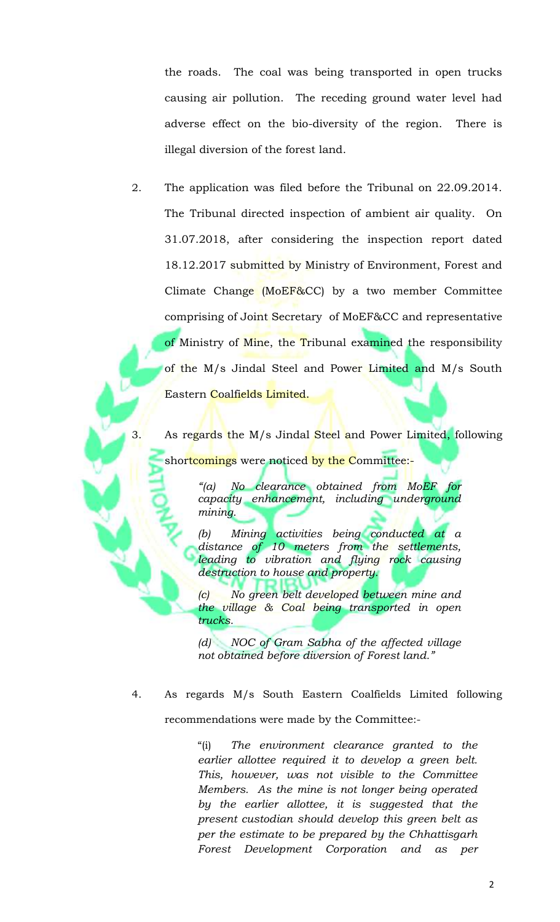the roads. The coal was being transported in open trucks causing air pollution. The receding ground water level had adverse effect on the bio-diversity of the region. There is illegal diversion of the forest land.

2. The application was filed before the Tribunal on 22.09.2014. The Tribunal directed inspection of ambient air quality. On 31.07.2018, after considering the inspection report dated 18.12.2017 submitted by Ministry of Environment, Forest and Climate Change (MoEF&CC) by a two member Committee comprising of Joint Secretary of MoEF&CC and representative of Ministry of Mine, the Tribunal examined the responsibility of the M/s Jindal Steel and Power Limited and M/s South Eastern Coalfields Limited.

3. As regards the M/s Jindal Steel and Power Limited, following shortcomings were noticed by the Committee:-

> *"(a) No clearance obtained from MoEF for capacity enhancement, including underground mining.*

> *(b) Mining activities being conducted at a distance of 10 meters from the settlements, leading to vibration and flying rock causing destruction to house and property.*

> *(c) No green belt developed between mine and the village & Coal being transported in open trucks.*

> *(d) NOC of Gram Sabha of the affected village not obtained before diversion of Forest land."*

4. As regards M/s South Eastern Coalfields Limited following recommendations were made by the Committee:-

> "(i) *The environment clearance granted to the earlier allottee required it to develop a green belt. This, however, was not visible to the Committee Members. As the mine is not longer being operated by the earlier allottee, it is suggested that the present custodian should develop this green belt as per the estimate to be prepared by the Chhattisgarh Forest Development Corporation and as per*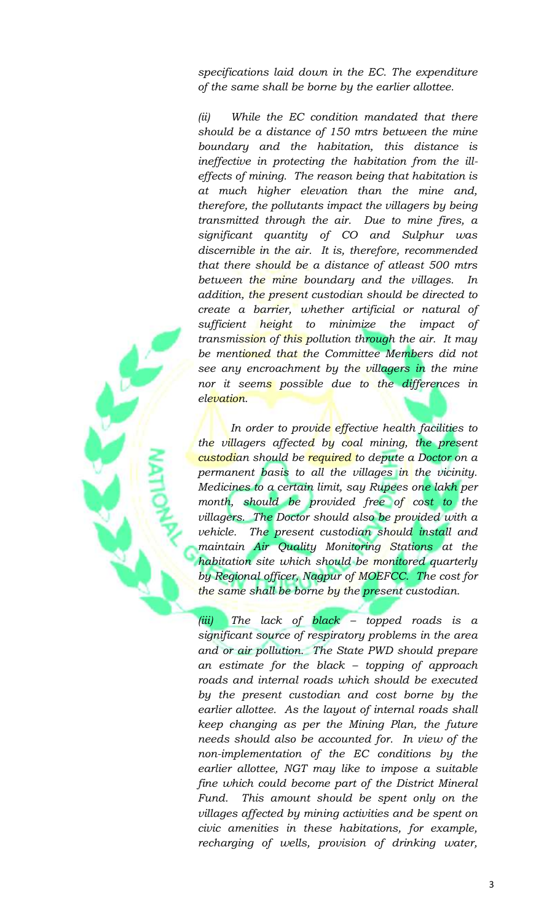*specifications laid down in the EC. The expenditure of the same shall be borne by the earlier allottee.*

*(ii) While the EC condition mandated that there should be a distance of 150 mtrs between the mine boundary and the habitation, this distance is ineffective in protecting the habitation from the illeffects of mining. The reason being that habitation is at much higher elevation than the mine and, therefore, the pollutants impact the villagers by being transmitted through the air. Due to mine fires, a significant quantity of CO and Sulphur was discernible in the air. It is, therefore, recommended that there should be a distance of atleast 500 mtrs between the mine boundary and the villages. In addition, the present custodian should be directed to create a barrier, whether artificial or natural of sufficient height to minimize the impact of transmission of this pollution through the air. It may be mentioned that the Committee Members did not see any encroachment by the villagers in the mine nor it seems possible due to the differences in elevation.* 

*In order to provide effective health facilities to the villagers affected by coal mining, the present custodian should be required to depute a Doctor on a permanent basis to all the villages in the vicinity. Medicines to a certain limit, say Rupees one lakh per month, should be provided free of cost to the villagers. The Doctor should also be provided with a vehicle. The present custodian should install and maintain Air Quality Monitoring Stations at the habitation site which should be monitored quarterly by Regional officer, Nagpur of MOEFCC. The cost for the same shall be borne by the present custodian.*

*(iii) The lack of black – topped roads is a significant source of respiratory problems in the area and or air pollution. The State PWD should prepare an estimate for the black – topping of approach roads and internal roads which should be executed by the present custodian and cost borne by the earlier allottee. As the layout of internal roads shall keep changing as per the Mining Plan, the future needs should also be accounted for. In view of the non-implementation of the EC conditions by the earlier allottee, NGT may like to impose a suitable fine which could become part of the District Mineral Fund. This amount should be spent only on the villages affected by mining activities and be spent on civic amenities in these habitations, for example, recharging of wells, provision of drinking water,*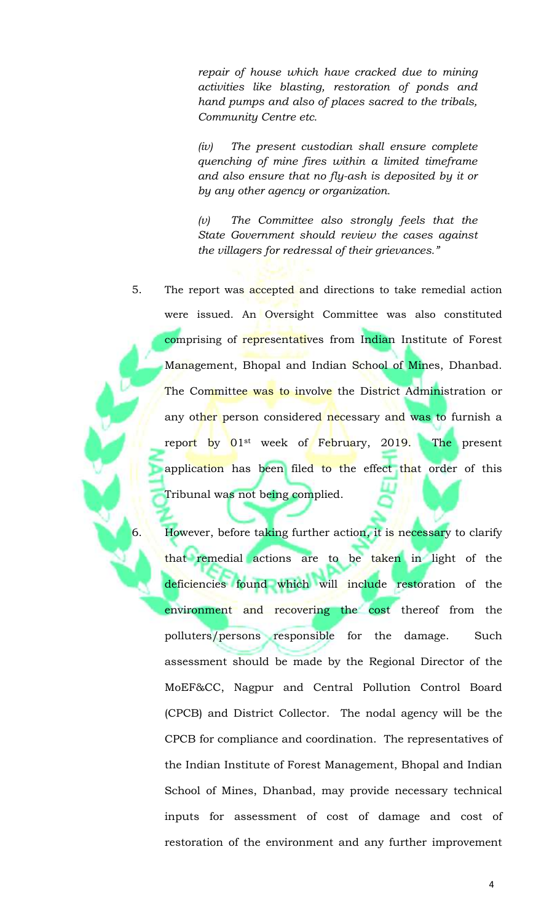*repair of house which have cracked due to mining activities like blasting, restoration of ponds and hand pumps and also of places sacred to the tribals, Community Centre etc.* 

*(iv) The present custodian shall ensure complete quenching of mine fires within a limited timeframe and also ensure that no fly-ash is deposited by it or by any other agency or organization.*

*(v) The Committee also strongly feels that the State Government should review the cases against the villagers for redressal of their grievances."*

5. The report was accepted and directions to take remedial action were issued. An Oversight Committee was also constituted comprising of representatives from Indian Institute of Forest Management, Bhopal and Indian School of Mines, Dhanbad. The Committee was to involve the District Administration or any other person considered necessary and was to furnish a report by 01<sup>st</sup> week of February, 2019. The present application has been filed to the effect that order of this Tribunal was not being complied.

6. However, before taking further action, it is necessary to clarify that remedial actions are to be taken in light of the deficiencies found which will include restoration of the environment and recovering the cost thereof from the polluters/persons responsible for the damage. Such assessment should be made by the Regional Director of the MoEF&CC, Nagpur and Central Pollution Control Board (CPCB) and District Collector. The nodal agency will be the CPCB for compliance and coordination. The representatives of the Indian Institute of Forest Management, Bhopal and Indian School of Mines, Dhanbad, may provide necessary technical inputs for assessment of cost of damage and cost of restoration of the environment and any further improvement